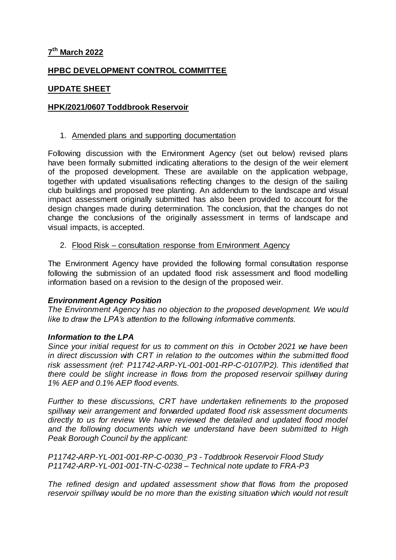# **7 th March 2022**

# **HPBC DEVELOPMENT CONTROL COMMITTEE**

# **UPDATE SHEET**

## **HPK/2021/0607 Toddbrook Reservoir**

#### 1. Amended plans and supporting documentation

Following discussion with the Environment Agency (set out below) revised plans have been formally submitted indicating alterations to the design of the weir element of the proposed development. These are available on the application webpage, together with updated visualisations reflecting changes to the design of the sailing club buildings and proposed tree planting. An addendum to the landscape and visual impact assessment originally submitted has also been provided to account for the design changes made during determination. The conclusion, that the changes do not change the conclusions of the originally assessment in terms of landscape and visual impacts, is accepted.

### 2. Flood Risk – consultation response from Environment Agency

The Environment Agency have provided the following formal consultation response following the submission of an updated flood risk assessment and flood modelling information based on a revision to the design of the proposed weir.

#### *Environment Agency Position*

*The Environment Agency has no objection to the proposed development. We would like to draw the LPA's attention to the following informative comments.*

## *Information to the LPA*

*Since your initial request for us to comment on this in October 2021 we have been in direct discussion with CRT in relation to the outcomes within the submitted flood risk assessment (ref: P11742-ARP-YL-001-001-RP-C-0107/P2). This identified that there could be slight increase in flows from the proposed reservoir spillway during 1% AEP and 0.1% AEP flood events.*

*Further to these discussions, CRT have undertaken refinements to the proposed spillway weir arrangement and forwarded updated flood risk assessment documents directly to us for review. We have reviewed the detailed and updated flood model and the following documents which we understand have been submitted to High Peak Borough Council by the applicant:*

*P11742-ARP-YL-001-001-RP-C-0030\_P3 - Toddbrook Reservoir Flood Study P11742-ARP-YL-001-001-TN-C-0238 – Technical note update to FRA-P3*

*The refined design and updated assessment show that flows from the proposed reservoir spillway would be no more than the existing situation which would not result*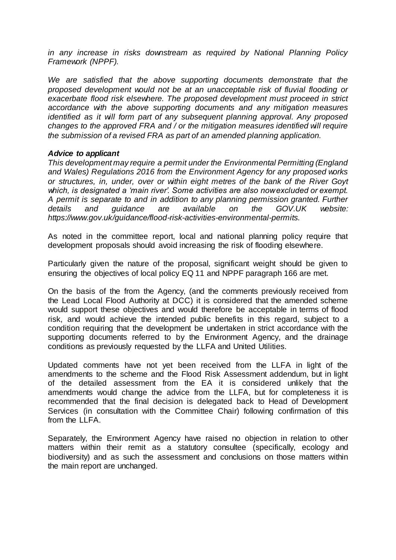*in any increase in risks downstream as required by National Planning Policy Framework (NPPF).*

We are satisfied that the above supporting documents demonstrate that the *proposed development would not be at an unacceptable risk of fluvial flooding or exacerbate flood risk elsewhere. The proposed development must proceed in strict accordance with the above supporting documents and any mitigation measures identified as it will form part of any subsequent planning approval. Any proposed changes to the approved FRA and / or the mitigation measures identified will require the submission of a revised FRA as part of an amended planning application.*

### *Advice to applicant*

*This development may require a permit under the Environmental Permitting (England and Wales) Regulations 2016 from the Environment Agency for any proposed works or structures, in, under, over or within eight metres of the bank of the River Goyt which, is designated a 'main river'. Some activities are also now excluded or exempt. A permit is separate to and in addition to any planning permission granted. Further details and guidance are available on the GOV.UK website: https://www.gov.uk/guidance/flood-risk-activities-environmental-permits.*

As noted in the committee report, local and national planning policy require that development proposals should avoid increasing the risk of flooding elsewhere.

Particularly given the nature of the proposal, significant weight should be given to ensuring the objectives of local policy EQ 11 and NPPF paragraph 166 are met.

On the basis of the from the Agency, (and the comments previously received from the Lead Local Flood Authority at DCC) it is considered that the amended scheme would support these objectives and would therefore be acceptable in terms of flood risk, and would achieve the intended public benefits in this regard, subject to a condition requiring that the development be undertaken in strict accordance with the supporting documents referred to by the Environment Agency, and the drainage conditions as previously requested by the LLFA and United Utilities.

Updated comments have not yet been received from the LLFA in light of the amendments to the scheme and the Flood Risk Assessment addendum, but in light of the detailed assessment from the EA it is considered unlikely that the amendments would change the advice from the LLFA, but for completeness it is recommended that the final decision is delegated back to Head of Development Services (in consultation with the Committee Chair) following confirmation of this from the LLFA.

Separately, the Environment Agency have raised no objection in relation to other matters within their remit as a statutory consultee (specifically, ecology and biodiversity) and as such the assessment and conclusions on those matters within the main report are unchanged.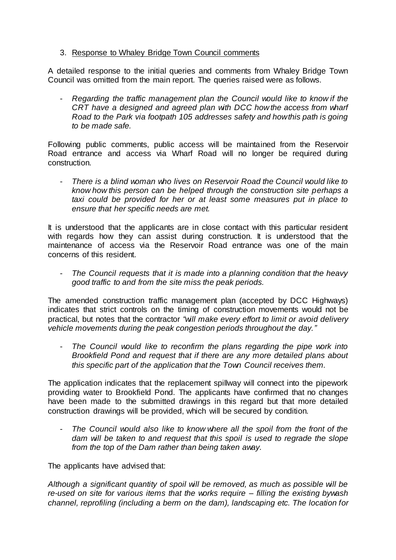# 3. Response to Whaley Bridge Town Council comments

A detailed response to the initial queries and comments from Whaley Bridge Town Council was omitted from the main report. The queries raised were as follows.

- *Regarding the traffic management plan the Council would like to know if the CRT have a designed and agreed plan with DCC how the access from wharf Road to the Park via footpath 105 addresses safety and how this path is going to be made safe.*

Following public comments, public access will be maintained from the Reservoir Road entrance and access via Wharf Road will no longer be required during construction.

- *There is a blind woman who lives on Reservoir Road the Council would like to know how this person can be helped through the construction site perhaps a taxi could be provided for her or at least some measures put in place to ensure that her specific needs are met.*

It is understood that the applicants are in close contact with this particular resident with regards how they can assist during construction. It is understood that the maintenance of access via the Reservoir Road entrance was one of the main concerns of this resident.

- *The Council requests that it is made into a planning condition that the heavy good traffic to and from the site miss the peak periods.*

The amended construction traffic management plan (accepted by DCC Highways) indicates that strict controls on the timing of construction movements would not be practical, but notes that the contractor *"will make every effort to limit or avoid delivery vehicle movements during the peak congestion periods throughout the day."*

- *The Council would like to reconfirm the plans regarding the pipe work into Brookfield Pond and request that if there are any more detailed plans about this specific part of the application that the Town Council receives them.*

The application indicates that the replacement spillway will connect into the pipework providing water to Brookfield Pond. The applicants have confirmed that no changes have been made to the submitted drawings in this regard but that more detailed construction drawings will be provided, which will be secured by condition.

The Council would also like to know where all the spoil from the front of the *dam will be taken to and request that this spoil is used to regrade the slope from the top of the Dam rather than being taken away.*

The applicants have advised that:

*Although a significant quantity of spoil will be removed, as much as possible will be re-used on site for various items that the works require – filling the existing bywash channel, reprofiling (including a berm on the dam), landscaping etc. The location for*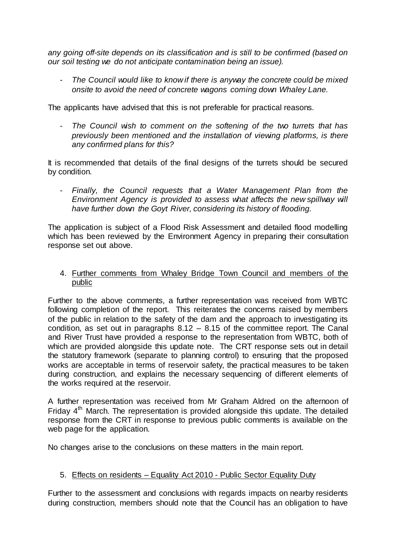*any going off-site depends on its classification and is still to be confirmed (based on our soil testing we do not anticipate contamination being an issue).*

- *The Council would like to know if there is anyway the concrete could be mixed onsite to avoid the need of concrete wagons coming down Whaley Lane.*

The applicants have advised that this is not preferable for practical reasons.

The Council wish to comment on the softening of the two turrets that has *previously been mentioned and the installation of viewing platforms, is there any confirmed plans for this?*

It is recommended that details of the final designs of the turrets should be secured by condition.

- *Finally, the Council requests that a Water Management Plan from the Environment Agency is provided to assess what affects the new spillway will have further down the Goyt River, considering its history of flooding.*

The application is subject of a Flood Risk Assessment and detailed flood modelling which has been reviewed by the Environment Agency in preparing their consultation response set out above.

4. Further comments from Whaley Bridge Town Council and members of the public

Further to the above comments, a further representation was received from WBTC following completion of the report. This reiterates the concerns raised by members of the public in relation to the safety of the dam and the approach to investigating its condition, as set out in paragraphs 8.12 – 8.15 of the committee report. The Canal and River Trust have provided a response to the representation from WBTC, both of which are provided alongside this update note. The CRT response sets out in detail the statutory framework (separate to planning control) to ensuring that the proposed works are acceptable in terms of reservoir safety, the practical measures to be taken during construction, and explains the necessary sequencing of different elements of the works required at the reservoir.

A further representation was received from Mr Graham Aldred on the afternoon of Friday  $4<sup>th</sup>$  March. The representation is provided alongside this update. The detailed response from the CRT in response to previous public comments is available on the web page for the application.

No changes arise to the conclusions on these matters in the main report.

## 5. Effects on residents – Equality Act 2010 - Public Sector Equality Duty

Further to the assessment and conclusions with regards impacts on nearby residents during construction, members should note that the Council has an obligation to have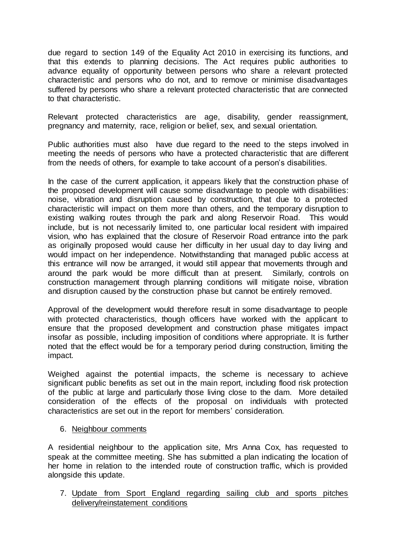due regard to section 149 of the Equality Act 2010 in exercising its functions, and that this extends to planning decisions. The Act requires public authorities to advance equality of opportunity between persons who share a relevant protected characteristic and persons who do not, and to remove or minimise disadvantages suffered by persons who share a relevant protected characteristic that are connected to that characteristic.

Relevant protected characteristics are age, disability, gender reassignment, pregnancy and maternity, race, religion or belief, sex, and sexual orientation.

Public authorities must also have due regard to the need to the steps involved in meeting the needs of persons who have a protected characteristic that are different from the needs of others, for example to take account of a person's disabilities.

In the case of the current application, it appears likely that the construction phase of the proposed development will cause some disadvantage to people with disabilities: noise, vibration and disruption caused by construction, that due to a protected characteristic will impact on them more than others, and the temporary disruption to existing walking routes through the park and along Reservoir Road. This would include, but is not necessarily limited to, one particular local resident with impaired vision, who has explained that the closure of Reservoir Road entrance into the park as originally proposed would cause her difficulty in her usual day to day living and would impact on her independence. Notwithstanding that managed public access at this entrance will now be arranged, it would still appear that movements through and around the park would be more difficult than at present. Similarly, controls on construction management through planning conditions will mitigate noise, vibration and disruption caused by the construction phase but cannot be entirely removed.

Approval of the development would therefore result in some disadvantage to people with protected characteristics, though officers have worked with the applicant to ensure that the proposed development and construction phase mitigates impact insofar as possible, including imposition of conditions where appropriate. It is further noted that the effect would be for a temporary period during construction, limiting the impact.

Weighed against the potential impacts, the scheme is necessary to achieve significant public benefits as set out in the main report, including flood risk protection of the public at large and particularly those living close to the dam. More detailed consideration of the effects of the proposal on individuals with protected characteristics are set out in the report for members' consideration.

6. Neighbour comments

A residential neighbour to the application site, Mrs Anna Cox, has requested to speak at the committee meeting. She has submitted a plan indicating the location of her home in relation to the intended route of construction traffic, which is provided alongside this update.

7. Update from Sport England regarding sailing club and sports pitches delivery/reinstatement conditions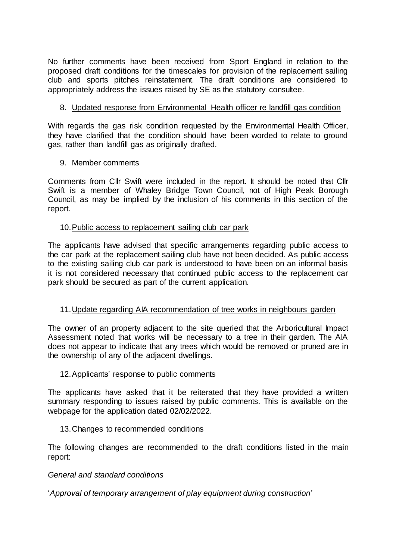No further comments have been received from Sport England in relation to the proposed draft conditions for the timescales for provision of the replacement sailing club and sports pitches reinstatement. The draft conditions are considered to appropriately address the issues raised by SE as the statutory consultee.

# 8. Updated response from Environmental Health officer re landfill gas condition

With regards the gas risk condition requested by the Environmental Health Officer, they have clarified that the condition should have been worded to relate to ground gas, rather than landfill gas as originally drafted.

## 9. Member comments

Comments from Cllr Swift were included in the report. It should be noted that Cllr Swift is a member of Whaley Bridge Town Council, not of High Peak Borough Council, as may be implied by the inclusion of his comments in this section of the report.

### 10.Public access to replacement sailing club car park

The applicants have advised that specific arrangements regarding public access to the car park at the replacement sailing club have not been decided. As public access to the existing sailing club car park is understood to have been on an informal basis it is not considered necessary that continued public access to the replacement car park should be secured as part of the current application.

## 11.Update regarding AIA recommendation of tree works in neighbours garden

The owner of an property adjacent to the site queried that the Arboricultural Impact Assessment noted that works will be necessary to a tree in their garden. The AIA does not appear to indicate that any trees which would be removed or pruned are in the ownership of any of the adjacent dwellings.

#### 12.Applicants' response to public comments

The applicants have asked that it be reiterated that they have provided a written summary responding to issues raised by public comments. This is available on the webpage for the application dated 02/02/2022.

#### 13.Changes to recommended conditions

The following changes are recommended to the draft conditions listed in the main report:

#### *General and standard conditions*

'*Approval of temporary arrangement of play equipment during construction*'